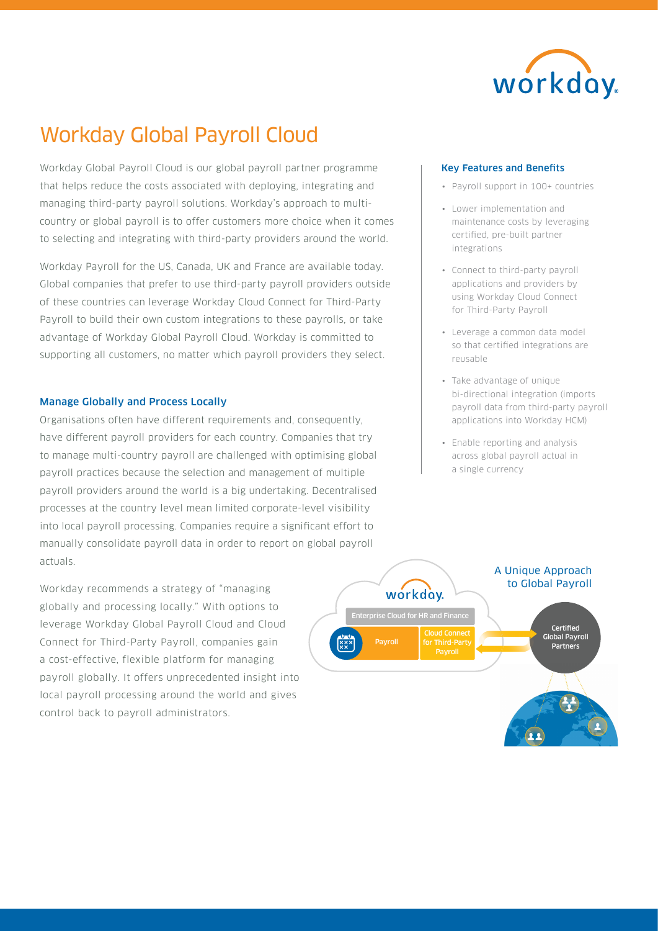

# Workday Global Payroll Cloud

Workday Global Payroll Cloud is our global payroll partner programme that helps reduce the costs associated with deploying, integrating and managing third-party payroll solutions. Workday's approach to multicountry or global payroll is to offer customers more choice when it comes to selecting and integrating with third-party providers around the world.

Workday Payroll for the US, Canada, UK and France are available today. Global companies that prefer to use third-party payroll providers outside of these countries can leverage Workday Cloud Connect for Third-Party Payroll to build their own custom integrations to these payrolls, or take advantage of Workday Global Payroll Cloud. Workday is committed to supporting all customers, no matter which payroll providers they select.

# Manage Globally and Process Locally

Organisations often have different requirements and, consequently, have different payroll providers for each country. Companies that try to manage multi-country payroll are challenged with optimising global payroll practices because the selection and management of multiple payroll providers around the world is a big undertaking. Decentralised processes at the country level mean limited corporate-level visibility into local payroll processing. Companies require a significant effort to manually consolidate payroll data in order to report on global payroll actuals.

Workday recommends a strategy of "managing globally and processing locally." With options to leverage Workday Global Payroll Cloud and Cloud Connect for Third-Party Payroll, companies gain a cost-effective, flexible platform for managing payroll globally. It offers unprecedented insight into local payroll processing around the world and gives control back to payroll administrators.

#### Key Features and Benefits

- Payroll support in 100+ countries
- Lower implementation and maintenance costs by leveraging certified, pre-built partner integrations
- Connect to third-party payroll applications and providers by using Workday Cloud Connect for Third-Party Payroll
- Leverage a common data model so that certified integrations are reusable
- Take advantage of unique bi-directional integration (imports payroll data from third-party payroll applications into Workday HCM)
- Enable reporting and analysis across global payroll actual in a single currency